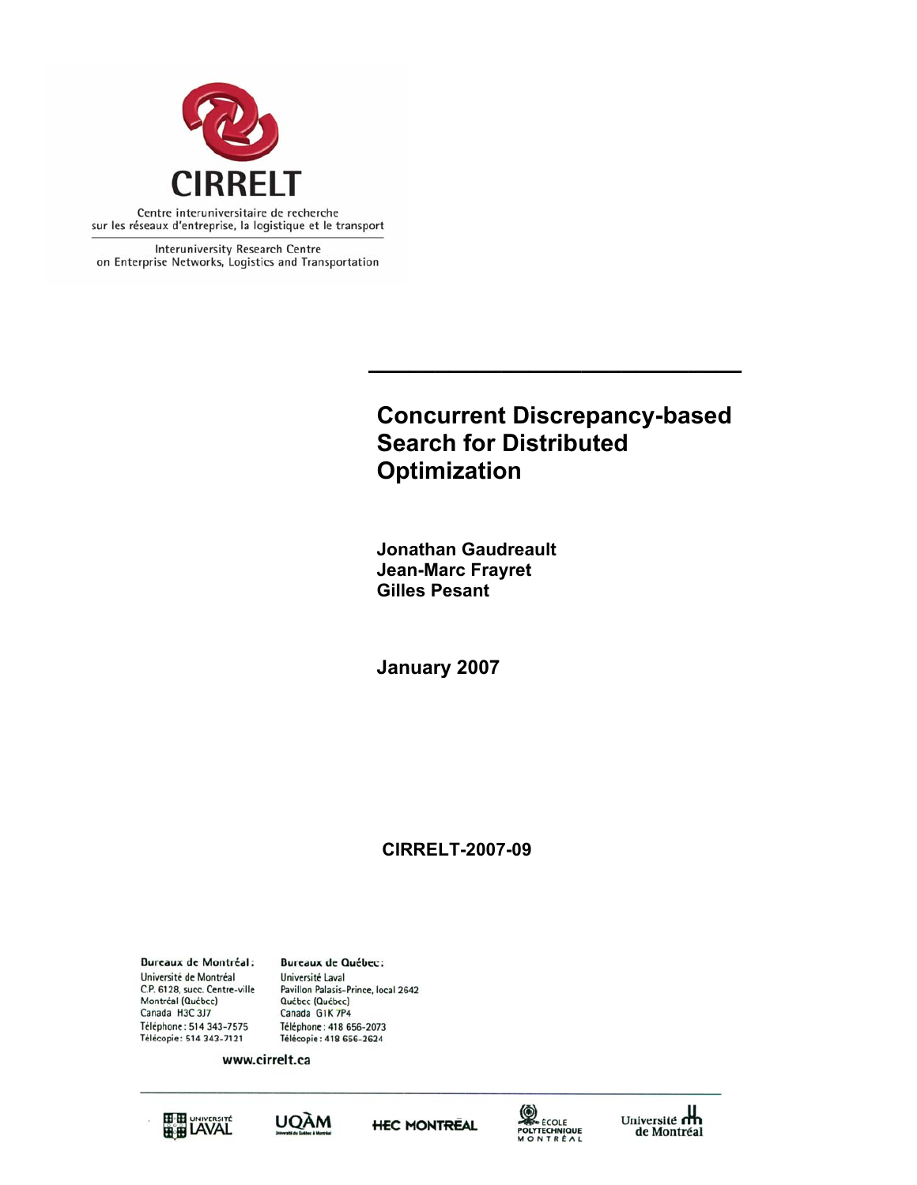

Interuniversity Research Centre on Enterprise Networks, Logistics and Transportation

# **Concurrent Discrepancy-based Search for Distributed Optimization**

**\_\_\_\_\_\_\_\_\_\_\_\_\_\_\_\_\_\_\_\_\_\_\_\_\_\_\_\_** 

**Jonathan Gaudreault Jean-Marc Frayret Gilles Pesant**

**January 2007** 

## **CIRRELT-2007-09**

**Bureaux de Montréal:** Université de Montréal C.P. 6128, succ. Centre-ville Montréal (Québec) Canada H3C 3J7 Téléphone: 514 343-7575 Télécopie: 514 343-7121

**Bureaux de Québec:** Université Laval Pavillon Palasis-Prince, local 2642 Québec (Québec) Canada G1K 7P4 Téléphone: 418 656-2073 Télécopie: 418 656-2624

www.cirrelt.ca









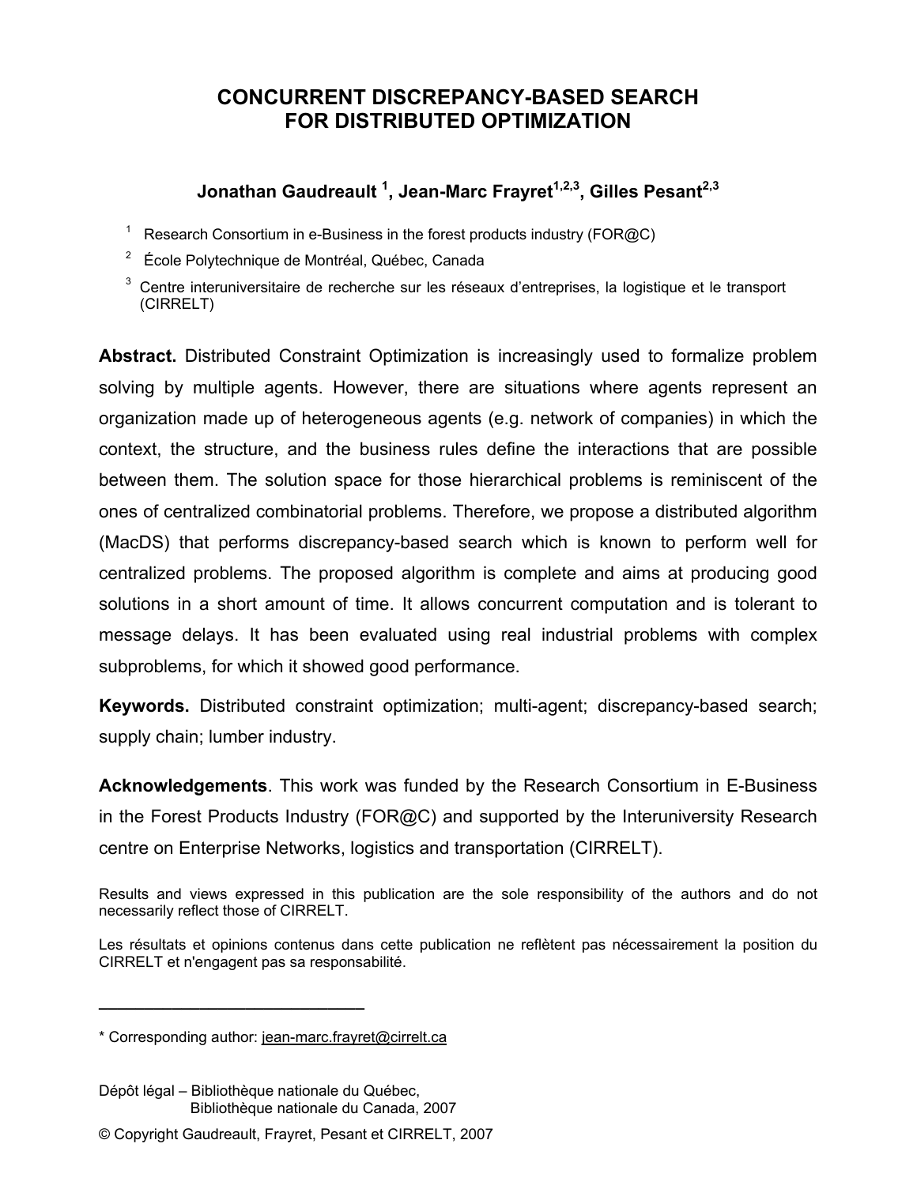## **CONCURRENT DISCREPANCY-BASED SEARCH FOR DISTRIBUTED OPTIMIZATION**

## Jonathan Gaudreault <sup>1</sup>, Jean-Marc Frayret<sup>1,2,3</sup>, Gilles Pesant<sup>2,3</sup>

- 1 Research Consortium in e-Business in the forest products industry (FOR@C)
- <sup>2</sup> École Polytechnique de Montréal, Québec, Canada
- $3$  Centre interuniversitaire de recherche sur les réseaux d'entreprises, la logistique et le transport (CIRRELT)

**Abstract.** Distributed Constraint Optimization is increasingly used to formalize problem solving by multiple agents. However, there are situations where agents represent an organization made up of heterogeneous agents (e.g. network of companies) in which the context, the structure, and the business rules define the interactions that are possible between them. The solution space for those hierarchical problems is reminiscent of the ones of centralized combinatorial problems. Therefore, we propose a distributed algorithm (MacDS) that performs discrepancy-based search which is known to perform well for centralized problems. The proposed algorithm is complete and aims at producing good solutions in a short amount of time. It allows concurrent computation and is tolerant to message delays. It has been evaluated using real industrial problems with complex subproblems, for which it showed good performance.

**Keywords.** Distributed constraint optimization; multi-agent; discrepancy-based search; supply chain; lumber industry.

**Acknowledgements**. This work was funded by the Research Consortium in E-Business in the Forest Products Industry (FOR@C) and supported by the Interuniversity Research centre on Enterprise Networks, logistics and transportation (CIRRELT).

**\_\_\_\_\_\_\_\_\_\_\_\_\_\_\_\_\_\_\_\_\_\_\_\_\_\_\_\_\_**

Results and views expressed in this publication are the sole responsibility of the authors and do not necessarily reflect those of CIRRELT.

Les résultats et opinions contenus dans cette publication ne reflètent pas nécessairement la position du CIRRELT et n'engagent pas sa responsabilité.

<sup>\*</sup> Corresponding author: jean-marc.frayret@cirrelt.ca

Dépôt légal – Bibliothèque nationale du Québec, Bibliothèque nationale du Canada, 2007

<sup>©</sup> Copyright Gaudreault, Frayret, Pesant et CIRRELT, 2007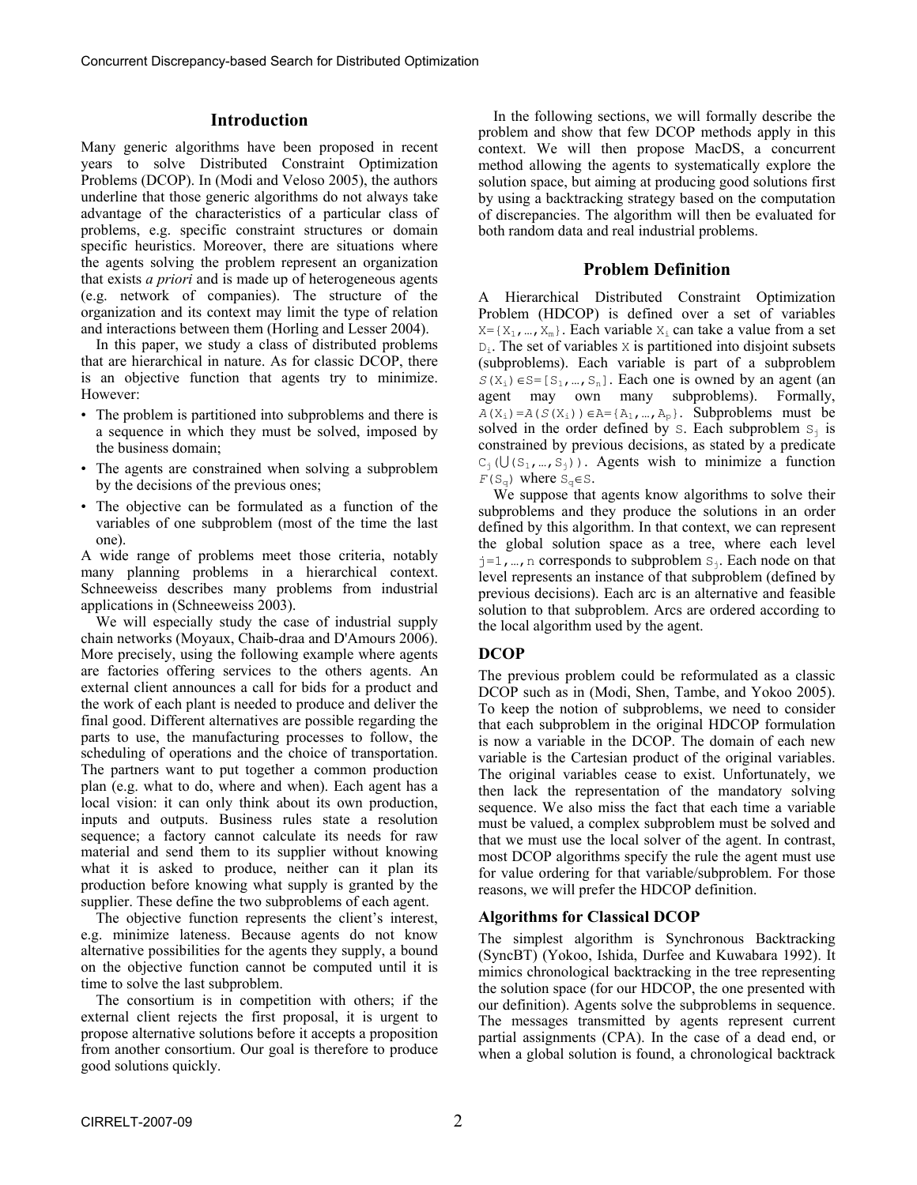#### **Introduction**

Many generic algorithms have been proposed in recent years to solve Distributed Constraint Optimization Problems (DCOP). In (Modi and Veloso 2005), the authors underline that those generic algorithms do not always take advantage of the characteristics of a particular class of problems, e.g. specific constraint structures or domain specific heuristics. Moreover, there are situations where the agents solving the problem represent an organization that exists *a priori* and is made up of heterogeneous agents (e.g. network of companies). The structure of the organization and its context may limit the type of relation and interactions between them (Horling and Lesser 2004).

 In this paper, we study a class of distributed problems that are hierarchical in nature. As for classic DCOP, there is an objective function that agents try to minimize. However:

- The problem is partitioned into subproblems and there is a sequence in which they must be solved, imposed by the business domain;
- The agents are constrained when solving a subproblem by the decisions of the previous ones;
- The objective can be formulated as a function of the variables of one subproblem (most of the time the last one).

A wide range of problems meet those criteria, notably many planning problems in a hierarchical context. Schneeweiss describes many problems from industrial applications in (Schneeweiss 2003).

 We will especially study the case of industrial supply chain networks (Moyaux, Chaib-draa and D'Amours 2006). More precisely, using the following example where agents are factories offering services to the others agents. An external client announces a call for bids for a product and the work of each plant is needed to produce and deliver the final good. Different alternatives are possible regarding the parts to use, the manufacturing processes to follow, the scheduling of operations and the choice of transportation. The partners want to put together a common production plan (e.g. what to do, where and when). Each agent has a local vision: it can only think about its own production, inputs and outputs. Business rules state a resolution sequence; a factory cannot calculate its needs for raw material and send them to its supplier without knowing what it is asked to produce, neither can it plan its production before knowing what supply is granted by the supplier. These define the two subproblems of each agent.

 The objective function represents the client's interest, e.g. minimize lateness. Because agents do not know alternative possibilities for the agents they supply, a bound on the objective function cannot be computed until it is time to solve the last subproblem.

 The consortium is in competition with others; if the external client rejects the first proposal, it is urgent to propose alternative solutions before it accepts a proposition from another consortium. Our goal is therefore to produce good solutions quickly.

 In the following sections, we will formally describe the problem and show that few DCOP methods apply in this context. We will then propose MacDS, a concurrent method allowing the agents to systematically explore the solution space, but aiming at producing good solutions first by using a backtracking strategy based on the computation of discrepancies. The algorithm will then be evaluated for both random data and real industrial problems.

#### **Problem Definition**

A Hierarchical Distributed Constraint Optimization Problem (HDCOP) is defined over a set of variables  $X = \{X_1, ..., X_m\}$ . Each variable  $X_i$  can take a value from a set  $D_i$ . The set of variables x is partitioned into disjoint subsets (subproblems). Each variable is part of a subproblem  $S(X_i) \in S = [S_1, ..., S_n]$ . Each one is owned by an agent (an agent may own many subproblems). Formally,  $A(X_i) = A(S(X_i)) \in A = \{A_1, ..., A_p\}$ . Subproblems must be solved in the order defined by  $s$ . Each subproblem  $s_j$  is constrained by previous decisions, as stated by a predicate  $C_i$  ( $U(S_1, ..., S_i)$ ). Agents wish to minimize a function  $F(S_{\alpha})$  where  $S_{\alpha} \in S$ .

 We suppose that agents know algorithms to solve their subproblems and they produce the solutions in an order defined by this algorithm. In that context, we can represent the global solution space as a tree, where each level  $j=1, ..., n$  corresponds to subproblem  $S_j$ . Each node on that level represents an instance of that subproblem (defined by previous decisions). Each arc is an alternative and feasible solution to that subproblem. Arcs are ordered according to the local algorithm used by the agent.

## **DCOP**

The previous problem could be reformulated as a classic DCOP such as in (Modi, Shen, Tambe, and Yokoo 2005). To keep the notion of subproblems, we need to consider that each subproblem in the original HDCOP formulation is now a variable in the DCOP. The domain of each new variable is the Cartesian product of the original variables. The original variables cease to exist. Unfortunately, we then lack the representation of the mandatory solving sequence. We also miss the fact that each time a variable must be valued, a complex subproblem must be solved and that we must use the local solver of the agent. In contrast, most DCOP algorithms specify the rule the agent must use for value ordering for that variable/subproblem. For those reasons, we will prefer the HDCOP definition.

### **Algorithms for Classical DCOP**

The simplest algorithm is Synchronous Backtracking (SyncBT) (Yokoo, Ishida, Durfee and Kuwabara 1992). It mimics chronological backtracking in the tree representing the solution space (for our HDCOP, the one presented with our definition). Agents solve the subproblems in sequence. The messages transmitted by agents represent current partial assignments (CPA). In the case of a dead end, or when a global solution is found, a chronological backtrack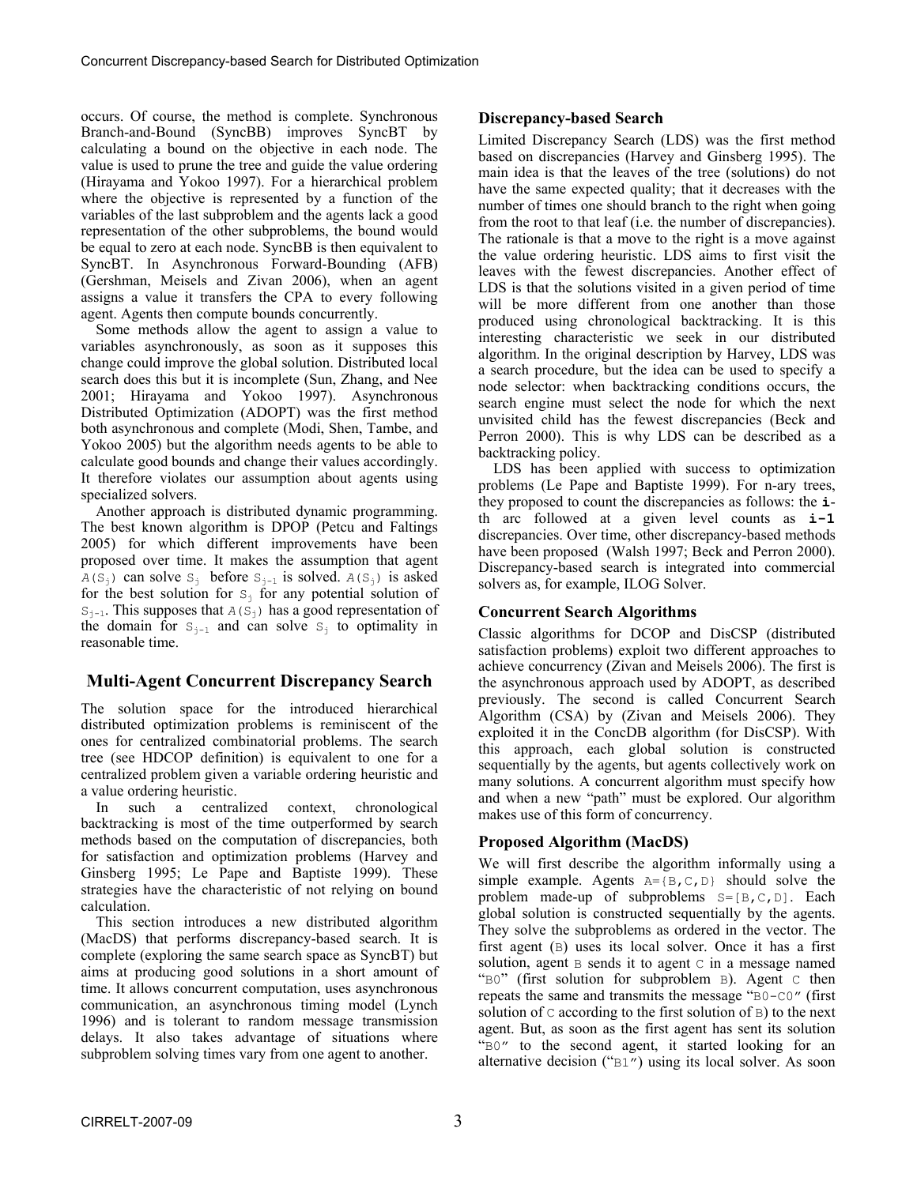occurs. Of course, the method is complete. Synchronous Branch-and-Bound (SyncBB) improves SyncBT by calculating a bound on the objective in each node. The value is used to prune the tree and guide the value ordering (Hirayama and Yokoo 1997). For a hierarchical problem where the objective is represented by a function of the variables of the last subproblem and the agents lack a good representation of the other subproblems, the bound would be equal to zero at each node. SyncBB is then equivalent to SyncBT. In Asynchronous Forward-Bounding (AFB) (Gershman, Meisels and Zivan 2006), when an agent assigns a value it transfers the CPA to every following agent. Agents then compute bounds concurrently.

 Some methods allow the agent to assign a value to variables asynchronously, as soon as it supposes this change could improve the global solution. Distributed local search does this but it is incomplete (Sun, Zhang, and Nee 2001; Hirayama and Yokoo 1997). Asynchronous Distributed Optimization (ADOPT) was the first method both asynchronous and complete (Modi, Shen, Tambe, and Yokoo 2005) but the algorithm needs agents to be able to calculate good bounds and change their values accordingly. It therefore violates our assumption about agents using specialized solvers.

 Another approach is distributed dynamic programming. The best known algorithm is DPOP (Petcu and Faltings 2005) for which different improvements have been proposed over time. It makes the assumption that agent  $A(S_i)$  can solve  $S_i$  before  $S_{i-1}$  is solved.  $A(S_i)$  is asked for the best solution for  $S_i$  for any potential solution of  $S_{i-1}$ . This supposes that  $A(S_i)$  has a good representation of the domain for  $S_{i-1}$  and can solve  $S_i$  to optimality in reasonable time.

## **Multi-Agent Concurrent Discrepancy Search**

The solution space for the introduced hierarchical distributed optimization problems is reminiscent of the ones for centralized combinatorial problems. The search tree (see HDCOP definition) is equivalent to one for a centralized problem given a variable ordering heuristic and a value ordering heuristic.

 In such a centralized context, chronological backtracking is most of the time outperformed by search methods based on the computation of discrepancies, both for satisfaction and optimization problems (Harvey and Ginsberg 1995; Le Pape and Baptiste 1999). These strategies have the characteristic of not relying on bound calculation.

 This section introduces a new distributed algorithm (MacDS) that performs discrepancy-based search. It is complete (exploring the same search space as SyncBT) but aims at producing good solutions in a short amount of time. It allows concurrent computation, uses asynchronous communication, an asynchronous timing model (Lynch 1996) and is tolerant to random message transmission delays. It also takes advantage of situations where subproblem solving times vary from one agent to another.

#### **Discrepancy-based Search**

Limited Discrepancy Search (LDS) was the first method based on discrepancies (Harvey and Ginsberg 1995). The main idea is that the leaves of the tree (solutions) do not have the same expected quality; that it decreases with the number of times one should branch to the right when going from the root to that leaf (i.e. the number of discrepancies). The rationale is that a move to the right is a move against the value ordering heuristic. LDS aims to first visit the leaves with the fewest discrepancies. Another effect of LDS is that the solutions visited in a given period of time will be more different from one another than those produced using chronological backtracking. It is this interesting characteristic we seek in our distributed algorithm. In the original description by Harvey, LDS was a search procedure, but the idea can be used to specify a node selector: when backtracking conditions occurs, the search engine must select the node for which the next unvisited child has the fewest discrepancies (Beck and Perron 2000). This is why LDS can be described as a backtracking policy.

 LDS has been applied with success to optimization problems (Le Pape and Baptiste 1999). For n-ary trees, they proposed to count the discrepancies as follows: the **i**th arc followed at a given level counts as **i-1** discrepancies. Over time, other discrepancy-based methods have been proposed (Walsh 1997; Beck and Perron 2000). Discrepancy-based search is integrated into commercial solvers as, for example, ILOG Solver.

### **Concurrent Search Algorithms**

Classic algorithms for DCOP and DisCSP (distributed satisfaction problems) exploit two different approaches to achieve concurrency (Zivan and Meisels 2006). The first is the asynchronous approach used by ADOPT, as described previously. The second is called Concurrent Search Algorithm (CSA) by (Zivan and Meisels 2006). They exploited it in the ConcDB algorithm (for DisCSP). With this approach, each global solution is constructed sequentially by the agents, but agents collectively work on many solutions. A concurrent algorithm must specify how and when a new "path" must be explored. Our algorithm makes use of this form of concurrency.

### **Proposed Algorithm (MacDS)**

We will first describe the algorithm informally using a simple example. Agents  $A = \{B, C, D\}$  should solve the problem made-up of subproblems  $S = [B, C, D]$ . Each global solution is constructed sequentially by the agents. They solve the subproblems as ordered in the vector. The first agent (B) uses its local solver. Once it has a first solution, agent  $\overline{B}$  sends it to agent  $\overline{C}$  in a message named "B0" (first solution for subproblem B). Agent C then repeats the same and transmits the message "B0-C0" (first solution of  $\subset$  according to the first solution of  $\overline{B}$ ) to the next agent. But, as soon as the first agent has sent its solution "B0" to the second agent, it started looking for an alternative decision ("B1") using its local solver. As soon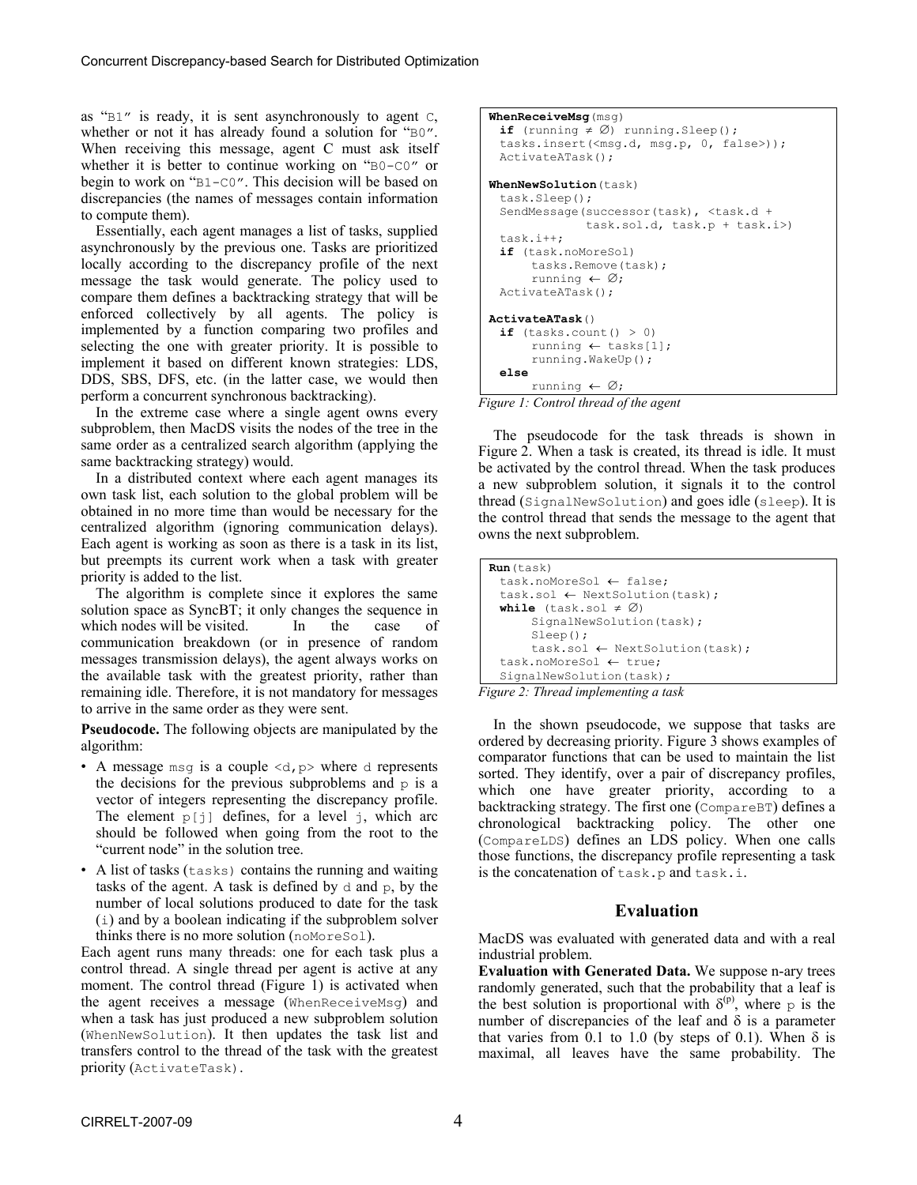as "B1" is ready, it is sent asynchronously to agent C, whether or not it has already found a solution for "B0". When receiving this message, agent C must ask itself whether it is better to continue working on "B0-C0" or begin to work on "B1-C0". This decision will be based on discrepancies (the names of messages contain information to compute them).

 Essentially, each agent manages a list of tasks, supplied asynchronously by the previous one. Tasks are prioritized locally according to the discrepancy profile of the next message the task would generate. The policy used to compare them defines a backtracking strategy that will be enforced collectively by all agents. The policy is implemented by a function comparing two profiles and selecting the one with greater priority. It is possible to implement it based on different known strategies: LDS, DDS, SBS, DFS, etc. (in the latter case, we would then perform a concurrent synchronous backtracking).

 In the extreme case where a single agent owns every subproblem, then MacDS visits the nodes of the tree in the same order as a centralized search algorithm (applying the same backtracking strategy) would.

 In a distributed context where each agent manages its own task list, each solution to the global problem will be obtained in no more time than would be necessary for the centralized algorithm (ignoring communication delays). Each agent is working as soon as there is a task in its list, but preempts its current work when a task with greater priority is added to the list.

 The algorithm is complete since it explores the same solution space as SyncBT; it only changes the sequence in which nodes will be visited. In the case of which nodes will be visited. In the case of communication breakdown (or in presence of random messages transmission delays), the agent always works on the available task with the greatest priority, rather than remaining idle. Therefore, it is not mandatory for messages to arrive in the same order as they were sent.

**Pseudocode.** The following objects are manipulated by the algorithm:

- A message msq is a couple  $\langle d, p \rangle$  where d represents the decisions for the previous subproblems and  $p$  is a vector of integers representing the discrepancy profile. The element  $p[i]$  defines, for a level j, which arc should be followed when going from the root to the "current node" in the solution tree.
- A list of tasks (tasks) contains the running and waiting tasks of the agent. A task is defined by d and p, by the number of local solutions produced to date for the task (i) and by a boolean indicating if the subproblem solver thinks there is no more solution (noMoreSol).

Each agent runs many threads: one for each task plus a control thread. A single thread per agent is active at any moment. The control thread (Figure 1) is activated when the agent receives a message (WhenReceiveMsg) and when a task has just produced a new subproblem solution (WhenNewSolution). It then updates the task list and transfers control to the thread of the task with the greatest priority (ActivateTask).

**WhenReceiveMsg**(msg) **if** (running ≠ ∅) running.Sleep(); tasks.insert(<msg.d, msg.p, 0, false>)); ActivateATask(); **WhenNewSolution**(task) task.Sleep(); SendMessage(successor(task), <task.d + task.sol.d, task.p + task.i>) task.i++; **if** (task.noMoreSol) tasks.Remove(task); running ← ∅; ActivateATask(); **ActivateATask**() **if** (tasks.count() > 0) running ← tasks[1]; running.WakeUp(); **else** running ← ∅;



 The pseudocode for the task threads is shown in Figure 2. When a task is created, its thread is idle. It must be activated by the control thread. When the task produces a new subproblem solution, it signals it to the control thread (SignalNewSolution) and goes idle (sleep). It is the control thread that sends the message to the agent that owns the next subproblem.

```
Run(task) 
  task.noMoreSol ← false; 
  task.sol ← NextSolution(task); 
 while (task.sol \neq \emptyset)SignalNewSolution(task):
       Sleep(); 
       task.sol ← NextSolution(task); 
  task.noMoreSol ← true; 
 SignalNewSolution(task);
```
*Figure 2: Thread implementing a task* 

 In the shown pseudocode, we suppose that tasks are ordered by decreasing priority. Figure 3 shows examples of comparator functions that can be used to maintain the list sorted. They identify, over a pair of discrepancy profiles, which one have greater priority, according to a backtracking strategy. The first one (CompareBT) defines a chronological backtracking policy. The other one (CompareLDS) defines an LDS policy. When one calls those functions, the discrepancy profile representing a task is the concatenation of task.p and task.i.

#### **Evaluation**

MacDS was evaluated with generated data and with a real industrial problem.

**Evaluation with Generated Data.** We suppose n-ary trees randomly generated, such that the probability that a leaf is the best solution is proportional with  $\delta^{(p)}$ , where p is the number of discrepancies of the leaf and  $\delta$  is a parameter that varies from 0.1 to 1.0 (by steps of 0.1). When  $\delta$  is maximal, all leaves have the same probability. The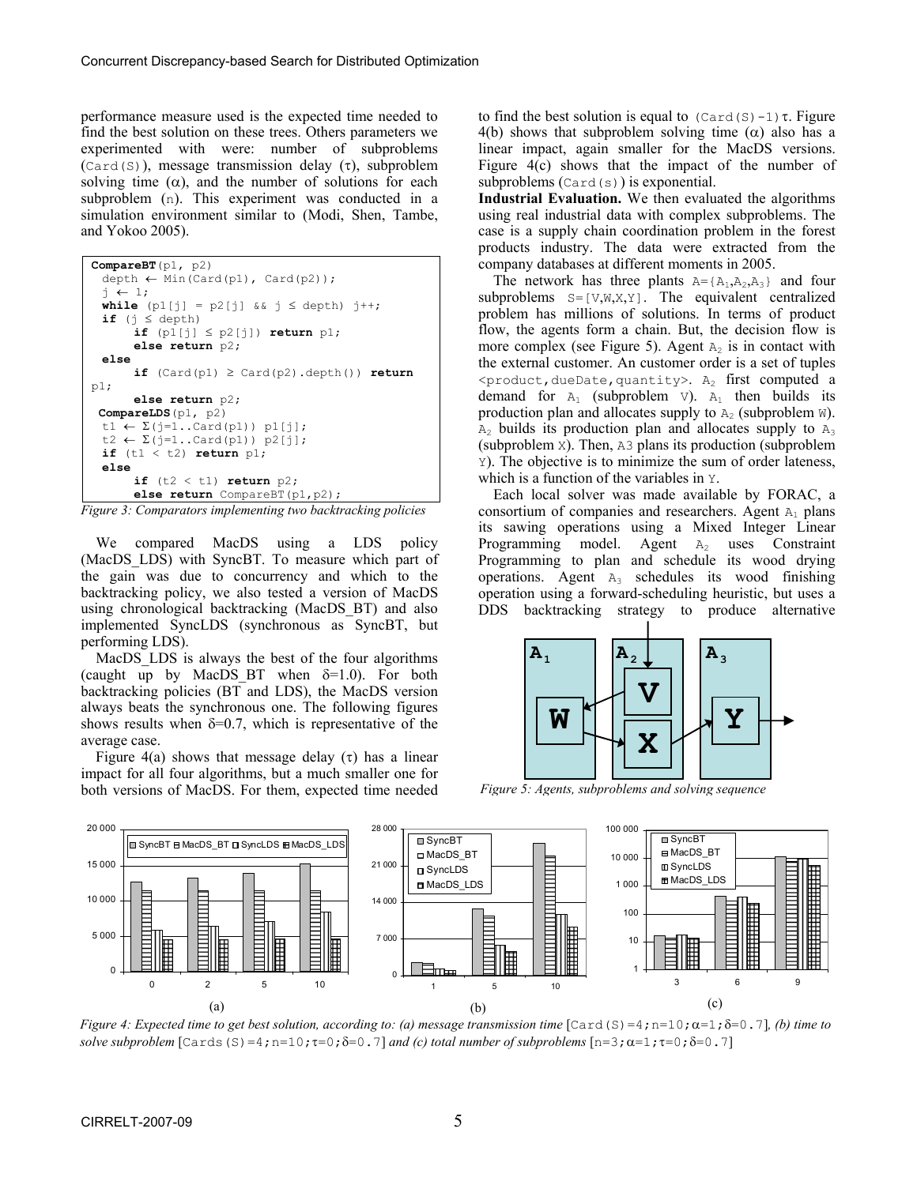performance measure used is the expected time needed to find the best solution on these trees. Others parameters we experimented with were: number of subproblems (Card(S)), message transmission delay  $(\tau)$ , subproblem solving time  $(\alpha)$ , and the number of solutions for each subproblem (n). This experiment was conducted in a simulation environment similar to (Modi, Shen, Tambe, and Yokoo 2005).

```
CompareBT(p1, p2) 
  depth ← Min(Card(p1), Card(p2)); 
 j \leftarrow 1;while (p1[j] = p2[j] & j \leq depth) j++;
 if (j ≤ depth) 
        if (p1[j] ≤ p2[j]) return p1; 
        else return p2; 
 else 
       if (Card(p1) \geq Card(p2) .depth()) return
p1; 
        else return p2; 
  CompareLDS(p1, p2) 
 t1 \leftarrow \Sigma(j=1..\text{Card}(p1)) p1[j];t2 \leftarrow \Sigma(j=1..\text{Card}(p1)) p2[j];if (t1 < t2) return p1; 
 else 
       if (t2 < t1) return p2;
        else return CompareBT(p1,p2);
```
*Figure 3: Comparators implementing two backtracking policies* 

We compared MacDS using a LDS policy (MacDS LDS) with SyncBT. To measure which part of the gain was due to concurrency and which to the backtracking policy, we also tested a version of MacDS using chronological backtracking (MacDS\_BT) and also implemented SyncLDS (synchronous as SyncBT, but performing LDS).

MacDS LDS is always the best of the four algorithms (caught up by MacDS BT when  $\delta=1.0$ ). For both backtracking policies (BT and LDS), the MacDS version always beats the synchronous one. The following figures shows results when  $\delta = 0.7$ , which is representative of the average case.

Figure 4(a) shows that message delay  $(\tau)$  has a linear impact for all four algorithms, but a much smaller one for both versions of MacDS. For them, expected time needed to find the best solution is equal to  $(Card(S)-1)$ τ. Figure 4(b) shows that subproblem solving time ( $\alpha$ ) also has a linear impact, again smaller for the MacDS versions. Figure 4(c) shows that the impact of the number of subproblems  $(\text{Card}(s))$  is exponential.

**Industrial Evaluation.** We then evaluated the algorithms using real industrial data with complex subproblems. The case is a supply chain coordination problem in the forest products industry. The data were extracted from the company databases at different moments in 2005.

The network has three plants  $A = \{A_1, A_2, A_3\}$  and four subproblems  $S=[V,W,X,Y]$ . The equivalent centralized problem has millions of solutions. In terms of product flow, the agents form a chain. But, the decision flow is more complex (see Figure 5). Agent  $A_2$  is in contact with the external customer. An customer order is a set of tuples  $\epsilon$ product,dueDate,quantity>. A<sub>2</sub> first computed a demand for  $A_1$  (subproblem v).  $A_1$  then builds its production plan and allocates supply to  $A_2$  (subproblem W).  $A_2$  builds its production plan and allocates supply to  $A_3$ (subproblem X). Then, A3 plans its production (subproblem Y). The objective is to minimize the sum of order lateness, which is a function of the variables in Y.

 Each local solver was made available by FORAC, a consortium of companies and researchers. Agent  $A_1$  plans its sawing operations using a Mixed Integer Linear Programming model. Agent  $A_2$  uses Constraint Programming to plan and schedule its wood drying operations. Agent  $A_3$  schedules its wood finishing operation using a forward-scheduling heuristic, but uses a DDS backtracking strategy to produce alternative



*Figure 5: Agents, subproblems and solving sequence*



*Figure 4: Expected time to get best solution, according to: (a) message transmission time*  $[\text{Card}(S)=4;n=10;\alpha=1;\delta=0.7]$ *, (b) time to solve subproblem*  $[\text{Cards}(S)=4; n=10; \tau=0; \delta=0.7]$  *and (c) total number of subproblems*  $[n=3; \alpha=1; \tau=0; \delta=0.7]$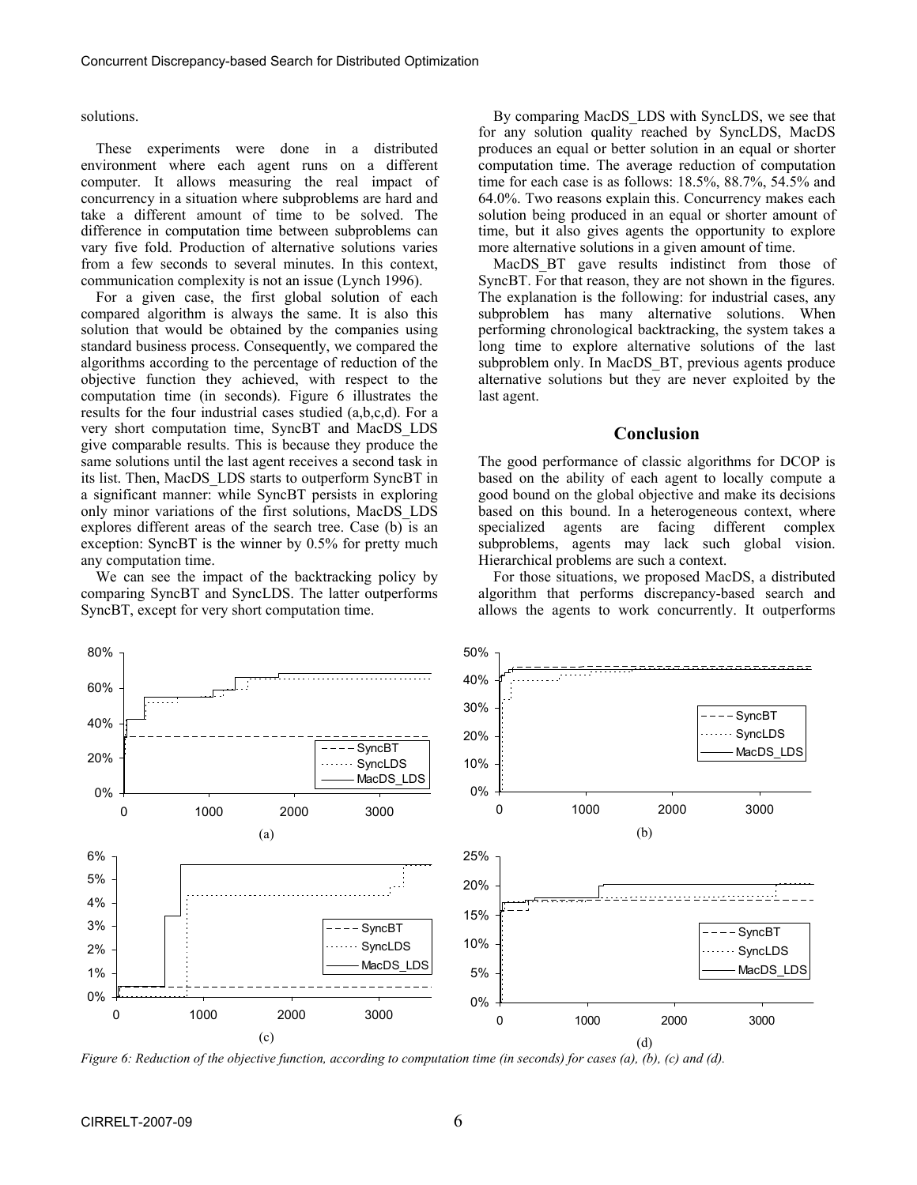solutions.

 These experiments were done in a distributed environment where each agent runs on a different computer. It allows measuring the real impact of concurrency in a situation where subproblems are hard and take a different amount of time to be solved. The difference in computation time between subproblems can vary five fold. Production of alternative solutions varies from a few seconds to several minutes. In this context, communication complexity is not an issue (Lynch 1996).

 For a given case, the first global solution of each compared algorithm is always the same. It is also this solution that would be obtained by the companies using standard business process. Consequently, we compared the algorithms according to the percentage of reduction of the objective function they achieved, with respect to the computation time (in seconds). Figure 6 illustrates the results for the four industrial cases studied (a,b,c,d). For a very short computation time, SyncBT and MacDS\_LDS give comparable results. This is because they produce the same solutions until the last agent receives a second task in its list. Then, MacDS\_LDS starts to outperform SyncBT in a significant manner: while SyncBT persists in exploring only minor variations of the first solutions, MacDS\_LDS explores different areas of the search tree. Case  $(b)$  is an exception: SyncBT is the winner by 0.5% for pretty much any computation time.

 We can see the impact of the backtracking policy by comparing SyncBT and SyncLDS. The latter outperforms SyncBT, except for very short computation time.

 By comparing MacDS\_LDS with SyncLDS, we see that for any solution quality reached by SyncLDS, MacDS produces an equal or better solution in an equal or shorter computation time. The average reduction of computation time for each case is as follows: 18.5%, 88.7%, 54.5% and 64.0%. Two reasons explain this. Concurrency makes each solution being produced in an equal or shorter amount of time, but it also gives agents the opportunity to explore more alternative solutions in a given amount of time.

MacDS BT gave results indistinct from those of SyncBT. For that reason, they are not shown in the figures. The explanation is the following: for industrial cases, any subproblem has many alternative solutions. When performing chronological backtracking, the system takes a long time to explore alternative solutions of the last subproblem only. In MacDS BT, previous agents produce alternative solutions but they are never exploited by the last agent.

#### **Conclusion**

The good performance of classic algorithms for DCOP is based on the ability of each agent to locally compute a good bound on the global objective and make its decisions based on this bound. In a heterogeneous context, where specialized agents are facing different complex subproblems, agents may lack such global vision. Hierarchical problems are such a context.

 For those situations, we proposed MacDS, a distributed algorithm that performs discrepancy-based search and allows the agents to work concurrently. It outperforms



*Figure 6: Reduction of the objective function, according to computation time (in seconds) for cases (a), (b), (c) and (d).*